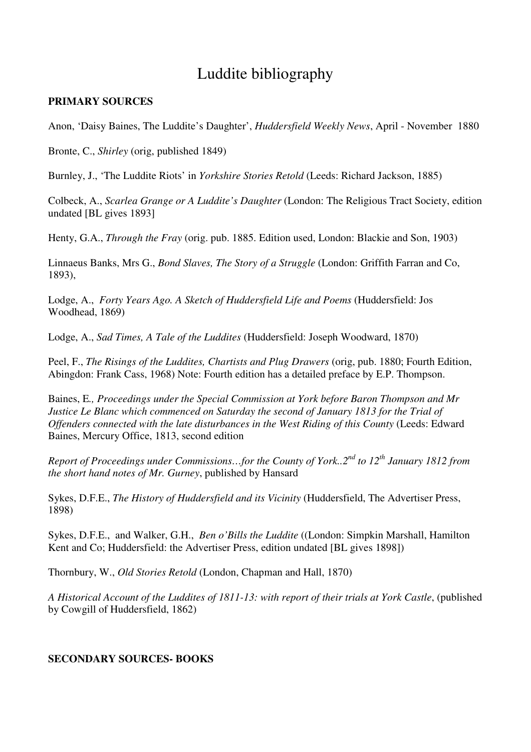## Luddite bibliography

## **PRIMARY SOURCES**

Anon, 'Daisy Baines, The Luddite's Daughter', *Huddersfield Weekly News*, April - November 1880

Bronte, C., *Shirley* (orig, published 1849)

Burnley, J., 'The Luddite Riots' in *Yorkshire Stories Retold* (Leeds: Richard Jackson, 1885)

Colbeck, A., *Scarlea Grange or A Luddite's Daughter* (London: The Religious Tract Society, edition undated [BL gives 1893]

Henty, G.A., *Through the Fray* (orig. pub. 1885. Edition used, London: Blackie and Son, 1903)

Linnaeus Banks, Mrs G., *Bond Slaves, The Story of a Struggle* (London: Griffith Farran and Co, 1893),

Lodge, A., *Forty Years Ago. A Sketch of Huddersfield Life and Poems* (Huddersfield: Jos Woodhead, 1869)

Lodge, A., *Sad Times, A Tale of the Luddites* (Huddersfield: Joseph Woodward, 1870)

Peel, F., *The Risings of the Luddites, Chartists and Plug Drawers* (orig, pub. 1880; Fourth Edition, Abingdon: Frank Cass, 1968) Note: Fourth edition has a detailed preface by E.P. Thompson.

Baines, E*., Proceedings under the Special Commission at York before Baron Thompson and Mr Justice Le Blanc which commenced on Saturday the second of January 1813 for the Trial of Offenders connected with the late disturbances in the West Riding of this County* (Leeds: Edward Baines, Mercury Office, 1813, second edition

*Report of Proceedings under Commissions…for the County of York..2nd to 12th January 1812 from the short hand notes of Mr. Gurney*, published by Hansard

Sykes, D.F.E., *The History of Huddersfield and its Vicinity* (Huddersfield, The Advertiser Press, 1898)

Sykes, D.F.E., and Walker, G.H., *Ben o'Bills the Luddite* ((London: Simpkin Marshall, Hamilton Kent and Co; Huddersfield: the Advertiser Press, edition undated [BL gives 1898])

Thornbury, W., *Old Stories Retold* (London, Chapman and Hall, 1870)

*A Historical Account of the Luddites of 1811-13: with report of their trials at York Castle*, (published by Cowgill of Huddersfield, 1862)

## **SECONDARY SOURCES- BOOKS**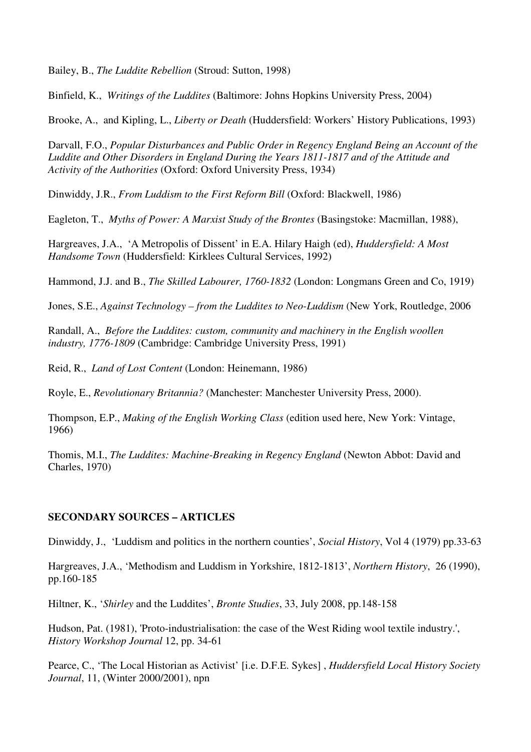Bailey, B., *The Luddite Rebellion* (Stroud: Sutton, 1998)

Binfield, K., *Writings of the Luddites* (Baltimore: Johns Hopkins University Press, 2004)

Brooke, A., and Kipling, L., *Liberty or Death* (Huddersfield: Workers' History Publications, 1993)

Darvall, F.O., *Popular Disturbances and Public Order in Regency England Being an Account of the Luddite and Other Disorders in England During the Years 1811-1817 and of the Attitude and Activity of the Authorities* (Oxford: Oxford University Press, 1934)

Dinwiddy, J.R., *From Luddism to the First Reform Bill* (Oxford: Blackwell, 1986)

Eagleton, T., *Myths of Power: A Marxist Study of the Brontes* (Basingstoke: Macmillan, 1988),

Hargreaves, J.A., 'A Metropolis of Dissent' in E.A. Hilary Haigh (ed), *Huddersfield: A Most Handsome Town* (Huddersfield: Kirklees Cultural Services, 1992)

Hammond, J.J. and B., *The Skilled Labourer, 1760-1832* (London: Longmans Green and Co, 1919)

Jones, S.E., *Against Technology – from the Luddites to Neo-Luddism* (New York, Routledge, 2006

Randall, A., *Before the Luddites: custom, community and machinery in the English woollen industry, 1776-1809* (Cambridge: Cambridge University Press, 1991)

Reid, R., *Land of Lost Content* (London: Heinemann, 1986)

Royle, E., *Revolutionary Britannia?* (Manchester: Manchester University Press, 2000).

Thompson, E.P., *Making of the English Working Class* (edition used here, New York: Vintage, 1966)

Thomis, M.I., *The Luddites: Machine-Breaking in Regency England* (Newton Abbot: David and Charles, 1970)

## **SECONDARY SOURCES – ARTICLES**

Dinwiddy, J., 'Luddism and politics in the northern counties', *Social History*, Vol 4 (1979) pp.33-63

Hargreaves, J.A., 'Methodism and Luddism in Yorkshire, 1812-1813', *Northern History*, 26 (1990), pp.160-185

Hiltner, K., '*Shirley* and the Luddites', *Bronte Studies*, 33, July 2008, pp.148-158

Hudson, Pat. (1981), 'Proto-industrialisation: the case of the West Riding wool textile industry.', *History Workshop Journal* 12, pp. 34-61

Pearce, C., 'The Local Historian as Activist' [i.e. D.F.E. Sykes] , *Huddersfield Local History Society Journal*, 11, (Winter 2000/2001), npn